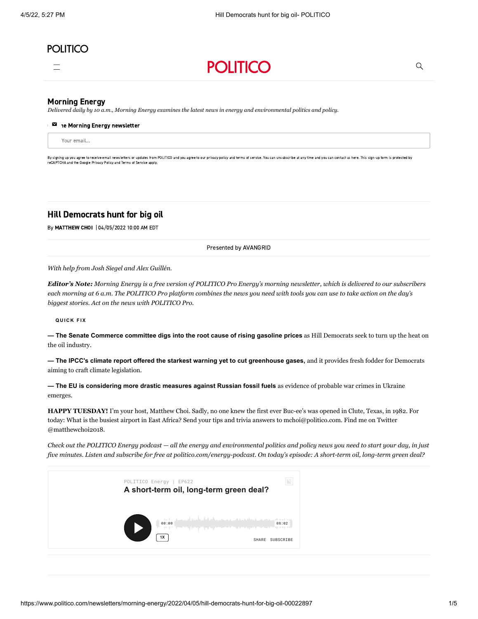# **POLITICO**





### [Morning Energy](https://www.politico.com/morningenergy/)

*Delivered daily by 10 a.m., Morning Energy examines the latest news in energy and environmental politics and policy.*

#### $\blacksquare$  ae Morning Energy newsletter

Your email…

By signing up you agree to receive email newsletters or undates from POLITICO and you agree to our [privacy](https://www.politico.com/privacy) policy and terms of [service](https://www.politico.com/terms-of-service). You can upsubscribe at any time and you can contact us [here.](https://www.politico.com/feedback) This sign-up form is prot reCAPTCHA and the Google [Privacy](https://policies.google.com/privacy) Policy and Terms of [Service](https://policies.google.com/terms) apply.

## Hill Democrats hunt for big oil

By [MATTHEW CHOI](https://www.politico.com/staff/choi-matthew) | 04/05/2022 10:00 AM EDT

Presented by AVANGRID

*With help from Josh Siegel and Alex Guillén.*

*Editor's Note: Morning Energy is a free version of POLITICO Pro Energy's morning newsletter, which is delivered to our subscribers each morning at 6 a.m. The POLITICO Pro platform combines the news you need with tools you can use to take action on the day's biggest stories. [Act on the news with POLITICO Pro.](https://www.politicopro.com/act-on-the-news?cid=promkt_20q1_corenews_act_energy)*

### **Q U IC K F I X**

**— The Senate Commerce committee digs into the root cause of rising gasoline prices** as Hill Democrats seek to turn up the heat on the oil industry.

**— The IPCC's climate report offered the starkest warning yet to cut greenhouse gases,** and it provides fresh fodder for Democrats aiming to craft climate legislation.

**— The EU is considering more drastic measures against Russian fossil fuels** as evidence of probable war crimes in Ukraine emerges.

**HAPPY TUESDAY!** I'm your host, Matthew Choi. Sadly, no one knew the first ever Buc-ee's was opened in Clute, Texas, in 1982. For today: What is the busiest airport in East Africa? Send your tips and trivia answers to [mchoi@politico.com.](mailto:mchoi@politico.com) Find me on Twitter [@matthewchoi2018](https://twitter.com/matthewchoi2018).

*[Check out the POLITICO Energy podcast](https://politico-energy.simplecast.com/) — all the energy and environmental politics and policy news you need to start your day, in just five minutes. Listen and subscribe for free at [politico.com/energy-podcast.](https://www.politico.com/energy-podcast) On today's episode: A short-term oil, long-term green deal?* 

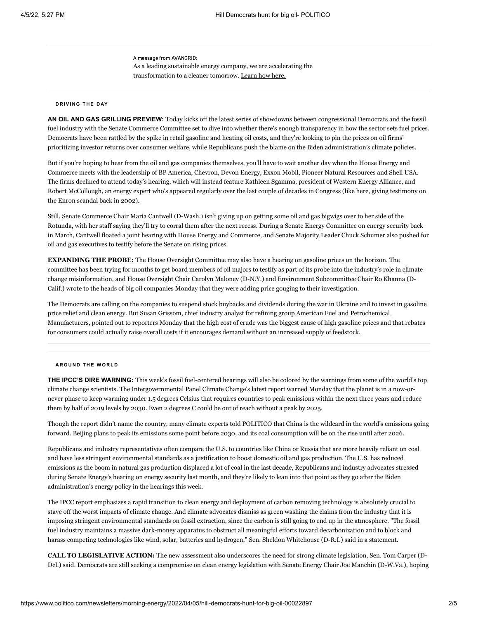A message from AVANGRID: As a leading sustainable energy company, we are accelerating the transformation to a cleaner tomorrow. [Learn how here.](https://ad.doubleclick.net/ddm/clk/525248068;333006293;e)

#### **D R IV I N G T H E D AY**

**AN OIL AND GAS GRILLING PREVIEW:** Today kicks off the latest series of showdowns between congressional Democrats and the fossil fuel industry with the [Senate Commerce Committee](https://www.commerce.senate.gov/2022/4/ensuring-transparency-in-petroleum-markets) set to dive into whether there's enough transparency in how the sector sets fuel prices. Democrats have been rattled by the spike in retail gasoline and heating oil costs, and they're looking to pin the prices on oil firms' prioritizing investor returns over consumer welfare, while Republicans push the blame on the Biden administration's climate policies.

But if you're hoping to hear from the oil and gas companies themselves, you'll have to wait another day when the House Energy and Commerce meets with the leadership of BP America, Chevron, Devon Energy, Exxon Mobil, Pioneer Natural Resources and Shell USA. The firms declined to attend today's hearing, which will instead feature Kathleen Sgamma, president of Western Energy Alliance, and [Robert McCollough, an energy expert who's appeared regularly over the last couple of decades in Congress \(like here, giving testimony on](https://www.c-span.org/video/?168425-1/enron-financial-collapse) the Enron scandal back in 2002).

Still, Senate Commerce Chair [Maria Cantwell](https://directory.politicopro.com/congress/member/51160) (D-Wash.) isn't giving up on getting some oil and gas bigwigs over to her side of the Rotunda, with her staff saying they'll try to corral them after the next recess. During a Senate Energy Committee on energy security back in March, Cantwell floated a joint hearing with House Energy and Commerce, and Senate Majority Leader [Chuck Schumer](https://directory.politicopro.com/congress/member/51231) also pushed for oil and gas executives to testify before the Senate on rising prices.

**EXPANDING THE PROBE:** The House Oversight Committee may also have a hearing on gasoline prices on the horizon. The committee has been trying for months to get board members of oil majors to testify as part of its probe into the industry's role in climate change misinformation, and House Oversight Chair [Carolyn Maloney](https://directory.politicopro.com/congress/member/51497) (D-N.Y.) and Environment Subcommittee Chair [Ro Khanna](https://directory.politicopro.com/congress/member/218327) (D-Calif.) [wrote to the heads](https://oversight.house.gov/sites/democrats.oversight.house.gov/files/2022-04-04.CBM%20Khanna%20to%20Woods-Exxon%20et%20al.%20re%20Stock%20Buybacks.pdf) of big oil companies Monday that they were adding price gouging to their investigation.

The Democrats are calling on the companies to suspend stock buybacks and dividends during the war in Ukraine and to invest in gasoline price relief and clean energy. But Susan Grissom, chief industry analyst for refining group American Fuel and Petrochemical Manufacturers, pointed out to reporters Monday that the high cost of crude was the biggest cause of high gasoline prices and that rebates for consumers could actually raise overall costs if it encourages demand without an increased supply of feedstock.

#### **A R O U N D T H E W O R L D**

**THE IPCC'S DIRE WARNING:** This week's fossil fuel-centered hearings will also be colored by the warnings from some of the world's top climate change scientists. The [Intergovernmental Panel Climate Change's latest report](https://subscriber.politicopro.com/article/2022/04/5-takeaways-from-u-n-report-on-how-world-can-still-stop-climate-change-00022776) warned Monday that the planet is in a now-ornever phase to keep warming under 1.5 degrees Celsius that requires countries to peak emissions within the next three years and reduce them by half of 2019 levels by 2030. Even 2 degrees C could be out of reach without a peak by 2025.

Though the report didn't name the country, many climate experts told POLITICO that China is the wildcard in the world's emissions going forward. Beijing plans to peak its emissions some point before 2030, and its coal consumption will be on the rise until after 2026.

Republicans and industry representatives often compare the U.S. to countries like China or Russia that are more heavily reliant on coal and have less stringent environmental standards as a justification to boost domestic oil and gas production. The U.S. has reduced emissions as the boom in natural gas production displaced a lot of coal in the last decade, Republicans and industry advocates stressed during Senate Energy's hearing on energy security last month, and they're likely to lean into that point as they go after the Biden administration's energy policy in the hearings this week.

The IPCC report emphasizes a rapid transition to clean energy and deployment of carbon removing technology is absolutely crucial to stave off the worst impacts of climate change. And climate advocates dismiss as green washing the claims from the industry that it is imposing stringent environmental standards on fossil extraction, since the carbon is still going to end up in the atmosphere. "The fossil fuel industry maintains a massive dark-money apparatus to obstruct all meaningful efforts toward decarbonization and to block and harass competing technologies like wind, solar, batteries and hydrogen," Sen. [Sheldon Whitehouse](https://directory.politicopro.com/congress/member/51844) (D-R.I.) said in a statement.

**CALL TO LEGISLATIVE ACTION:** The new assessment also underscores the need for strong climate legislation, Sen. [Tom Carper](https://directory.politicopro.com/congress/member/51161) (D-Del.) said. Democrats are still seeking a compromise on clean energy legislation with Senate Energy Chair [Joe Manchin](https://directory.politicopro.com/congress/member/151825) (D-W.Va.), hoping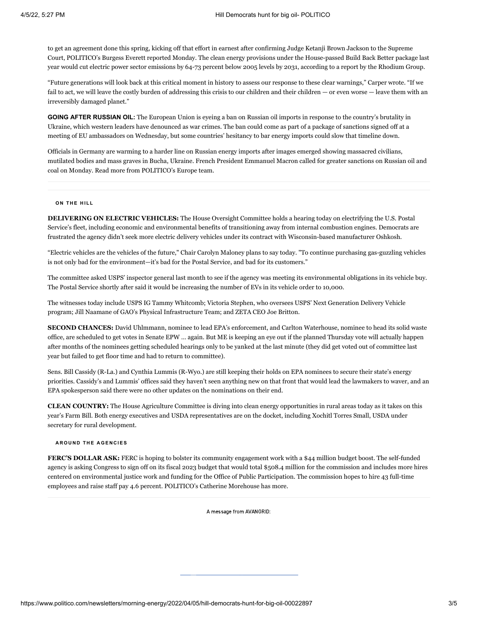to get an agreement done this spring, kicking off that effort in earnest after confirming Judge Ketanji Brown Jackson to the Supreme Court, [POLITICO's Burgess Everett reported](https://www.politico.com/news/2022/04/04/dems-party-line-spending-manchin-00022362) Monday. The clean energy provisions under the House-passed [Build Back Better package](https://legislation.politicopro.com/bill/US_117_HR_5376) last year would cut electric power sector emissions by 64-73 percent below 2005 levels by 2031, according to [a report by the Rhodium Group](https://rhg.com/research/assessing-the-costs-and-benefits-of-clean-electricity-tax-credits/).

"Future generations will look back at this critical moment in history to assess our response to these clear warnings," Carper wrote. "If we fail to act, we will leave the costly burden of addressing this crisis to our children and their children — or even worse — leave them with an irreversibly damaged planet."

**GOING AFTER RUSSIAN OIL:** The European Union is eyeing a ban on Russian oil imports in response to the country's brutality in Ukraine, which western leaders have denounced as war crimes. The ban could come as part of a package of sanctions signed off at a meeting of EU ambassadors on Wednesday, but [some countries' hesitancy to bar energy imports](https://subscriber.politicopro.com/article/2022/04/austria-rejects-sanctions-against-russian-oil-gas-00022663) could slow that timeline down.

Officials in Germany are warming to a harder line on Russian energy imports after images emerged showing massacred civilians, mutilated bodies and mass graves in Bucha, Ukraine. French President Emmanuel Macron [called for greater sanctions](https://subscriber.politicopro.com/article/2022/04/macron-calls-for-more-energy-sanctions-as-ukraine-accuses-russia-of-war-crimes-00022659) on Russian oil and coal on Monday. [Read more from POLITICO's Europe team.](https://subscriber.politicopro.com/article/2022/04/eu-weighs-ban-on-russian-oil-over-war-crimes-as-pressure-builds-on-berlin-00022786)

#### **O N T H E H IL L**

**DELIVERING ON ELECTRIC VEHICLES:** The [House Oversight Committee](https://oversight.house.gov/legislation/hearings/it-s-electric-developing-the-postal-service-fleet-of-the-future) holds a hearing today on electrifying the U.S. Postal Service's fleet, including economic and environmental benefits of transitioning away from internal combustion engines. Democrats are frustrated the agency didn't seek more electric delivery vehicles under its contract with Wisconsin-based manufacturer Oshkosh.

"Electric vehicles are the vehicles of the future," Chair Carolyn Maloney plans to say today. "To continue purchasing gas-guzzling vehicles is not only bad for the environment—it's bad for the Postal Service, and bad for its customers."

The committee asked USPS' inspector general last month to see if the agency was meeting its environmental obligations in its vehicle buy. The Postal Service shortly after said it would be increasing the number of EVs in its vehicle order to 10,000.

The witnesses today include USPS IG Tammy Whitcomb; Victoria Stephen, who oversees USPS' Next Generation Delivery Vehicle program; Jill Naamane of GAO's Physical Infrastructure Team; and ZETA CEO Joe Britton.

**SECOND CHANCES:** David Uhlmmann, nominee to lead EPA's enforcement, and Carlton Waterhouse, nominee to head its solid waste office, are scheduled to get votes in Senate EPW … again. But ME is keeping an eye out if the [planned Thursday vote](https://subscriber.politicopro.com/article/2022/04/senate-environment-committee-sets-votes-for-two-epa-nominees-00022802) will actually happen after months of the nominees getting scheduled hearings only to be yanked at the last minute (they did get voted out of committee last year but failed to get floor time and had to return to committee).

Sens. [Bill Cassidy](https://directory.politicopro.com/congress/member/66858) (R-La.) and [Cynthia Lummis](https://directory.politicopro.com/congress/member/66891) (R-Wyo.) are still keeping their holds on EPA nominees to secure their state's energy priorities. Cassidy's and Lummis' offices said they haven't seen anything new on that front that would lead the lawmakers to waver, and an EPA spokesperson said there were no other updates on the nominations on their end.

**CLEAN COUNTRY:** The [House Agriculture Committee](https://agriculture.house.gov/calendar/eventsingle.aspx?EventID=2461) is diving into clean energy opportunities in rural areas today as it takes on this year's Farm Bill. Both energy executives and USDA representatives are on the docket, including Xochitl Torres Small, USDA under secretary for rural development.

#### **A R O U N D T H E A G E N C IE S**

**FERC'S DOLLAR ASK:** FERC is hoping to bolster its community engagement work with a \$44 million budget boost. The self-funded agency is asking Congress to sign off on its fiscal 2023 budget that would total \$508.4 million for the commission and includes more hires centered on environmental justice work and funding for the Office of Public Participation. The commission hopes to hire 43 full-time employees and raise staff pay 4.6 percent. [POLITICO's Catherine Morehouse has more](https://subscriber.politicopro.com/article/2022/04/ferc-asks-congress-for-budget-boost-to-pay-for-environmental-justice-efforts-00022788).

A message from AVANGRID: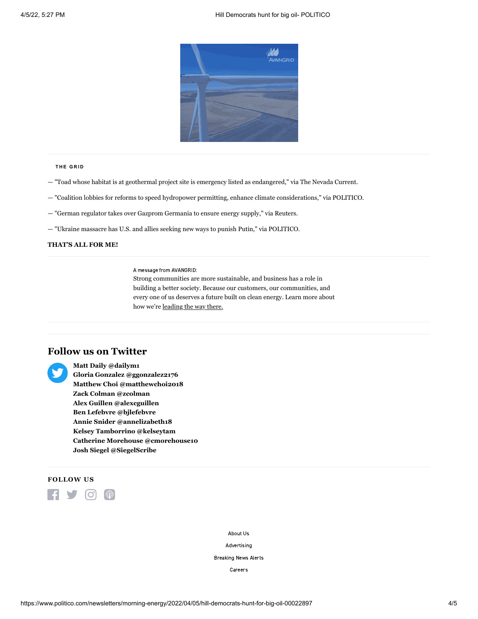

#### **T H E G R ID**

- ["Toad whose habitat is at geothermal project site is emergency listed as endangered](https://www.nevadacurrent.com/2022/04/04/toad-whose-habitat-is-at-geothermal-projectsite-is-emergency-listed-as-endangered/)," via The Nevada Current.
- ["Coalition lobbies for reforms to speed hydropower permitting, enhance climate considerations,](https://subscriber.politicopro.com/article/2022/04/coalition-lobbies-for-reforms-to-speed-hydropower-permitting-enhance-climate-considerations-00022678)" via POLITICO.
- ["German regulator takes over Gazprom Germania to ensure energy supply,](https://www.reuters.com/business/energy/german-regulator-takes-over-gazprom-germania-ensure-energy-supply-2022-04-04/)" via Reuters.
- ["Ukraine massacre has U.S. and allies seeking new ways to punish Putin,](https://www.politico.com/news/2022/04/04/ukraine-massacre-u-s-allies-punish-putin-00022824)" via POLITICO.

### **THAT'S ALL FOR ME!**

A message from AVANGRID:

Strong communities are more sustainable, and business has a role in building a better society. Because our customers, our communities, and every one of us deserves a future built on clean energy. Learn more about how we're [leading the way there.](https://ad.doubleclick.net/ddm/clk/525248062;333006287;b)

## **Follow us on Twitter**



**Matt Daily [@dailym1](https://twitter.com/dailym1) Gloria Gonzalez [@ggonzalez2176](https://twitter.com/ggonzalez2176) Matthew Choi [@matthewchoi2018](https://twitter.com/matthewchoi2018) Zack Colman [@zcolman](https://twitter.com/zcolman) Alex Guillen [@alexcguillen](https://twitter.com/alexcguillen) Ben Lefebvre [@bjlefebvre](https://twitter.com/bjlefebvre) Annie Snider [@annelizabeth18](https://twitter.com/annelizabeth18) Kelsey Tamborrino [@kelseytam](https://twitter.com/kelseytam) Catherine Morehouse [@cmorehouse10](https://twitter.com/cmorehouse10) Josh Siegel [@SiegelScribe](https://twitter.com/SiegelScribe)**

## **FOLLOW US**



[About Us](https://www.politico.com/about-us)

[Advertising](https://www.politico.com/advertising)

[Breaking News Alerts](https://www.politico.com/subscribe/breaking-news-alerts)

[Careers](https://www.politico.com/careers)